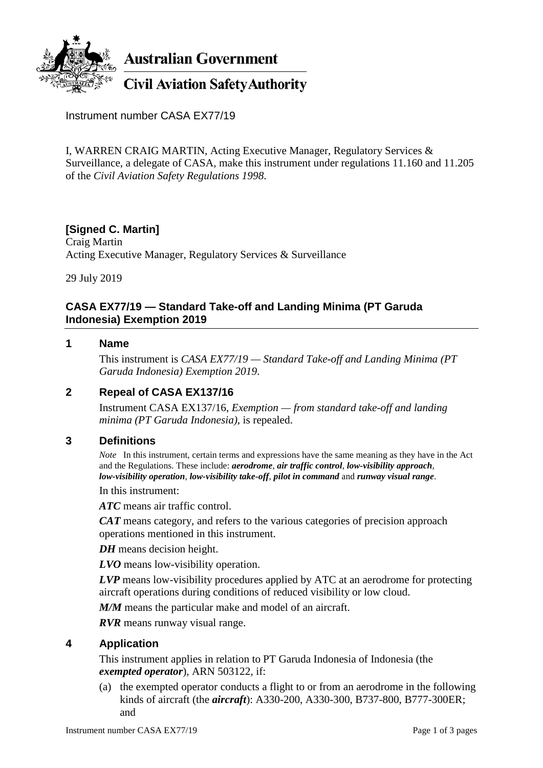

**Australian Government** 

# **Civil Aviation Safety Authority**

Instrument number CASA EX77/19

I, WARREN CRAIG MARTIN, Acting Executive Manager, Regulatory Services & Surveillance, a delegate of CASA, make this instrument under regulations 11.160 and 11.205 of the *Civil Aviation Safety Regulations 1998*.

# **[Signed C. Martin]**

Craig Martin Acting Executive Manager, Regulatory Services & Surveillance

29 July 2019

# **CASA EX77/19 — Standard Take-off and Landing Minima (PT Garuda Indonesia) Exemption 2019**

#### **1 Name**

This instrument is *CASA EX77/19 — Standard Take-off and Landing Minima (PT Garuda Indonesia) Exemption 2019*.

### **2 Repeal of CASA EX137/16**

Instrument CASA EX137/16, *Exemption — from standard take-off and landing minima (PT Garuda Indonesia)*, is repealed.

### **3 Definitions**

*Note* In this instrument, certain terms and expressions have the same meaning as they have in the Act and the Regulations. These include: *aerodrome*, *air traffic control*, *low-visibility approach*, *low-visibility operation*, *low-visibility take-off*, *pilot in command* and *runway visual range*.

In this instrument:

*ATC* means air traffic control.

*CAT* means category, and refers to the various categories of precision approach operations mentioned in this instrument.

*DH* means decision height.

*LVO* means low-visibility operation.

*LVP* means low-visibility procedures applied by ATC at an aerodrome for protecting aircraft operations during conditions of reduced visibility or low cloud.

*M/M* means the particular make and model of an aircraft.

*RVR* means runway visual range.

### **4 Application**

This instrument applies in relation to PT Garuda Indonesia of Indonesia (the *exempted operator*), ARN 503122, if:

(a) the exempted operator conducts a flight to or from an aerodrome in the following kinds of aircraft (the *aircraft*): A330-200, A330-300, B737-800, B777-300ER; and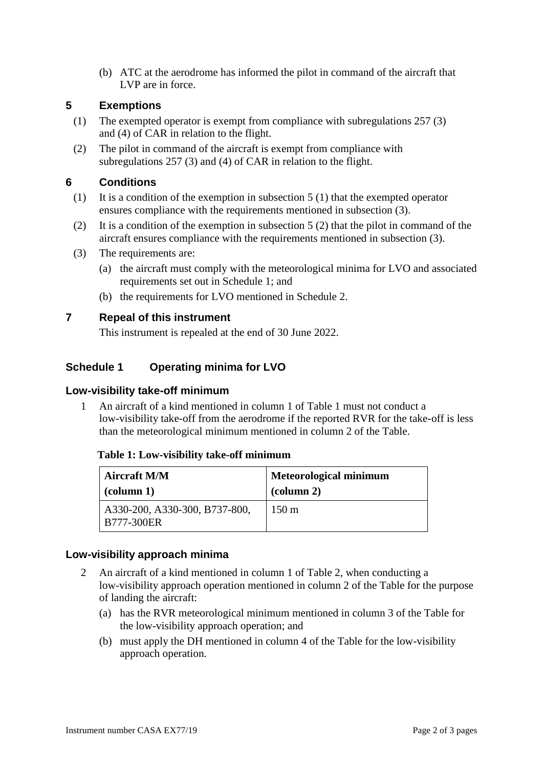(b) ATC at the aerodrome has informed the pilot in command of the aircraft that LVP are in force.

# **5 Exemptions**

- (1) The exempted operator is exempt from compliance with subregulations 257 (3) and (4) of CAR in relation to the flight.
- (2) The pilot in command of the aircraft is exempt from compliance with subregulations 257 (3) and (4) of CAR in relation to the flight.

# **6 Conditions**

- (1) It is a condition of the exemption in subsection 5 (1) that the exempted operator ensures compliance with the requirements mentioned in subsection (3).
- (2) It is a condition of the exemption in subsection 5 (2) that the pilot in command of the aircraft ensures compliance with the requirements mentioned in subsection (3).
- (3) The requirements are:
	- (a) the aircraft must comply with the meteorological minima for LVO and associated requirements set out in Schedule 1; and
	- (b) the requirements for LVO mentioned in Schedule 2.

# **7 Repeal of this instrument**

This instrument is repealed at the end of 30 June 2022.

# **Schedule 1 Operating minima for LVO**

### **Low-visibility take-off minimum**

1 An aircraft of a kind mentioned in column 1 of Table 1 must not conduct a low-visibility take-off from the aerodrome if the reported RVR for the take-off is less than the meteorological minimum mentioned in column 2 of the Table.

#### **Table 1: Low-visibility take-off minimum**

| <b>Aircraft M/M</b>                                | <b>Meteorological minimum</b>   |
|----------------------------------------------------|---------------------------------|
| $\alpha$ (column 1)                                | $\left(\text{column } 2\right)$ |
| A330-200, A330-300, B737-800,<br><b>B777-300ER</b> | $150 \text{ m}$                 |

#### **Low-visibility approach minima**

- 2 An aircraft of a kind mentioned in column 1 of Table 2, when conducting a low-visibility approach operation mentioned in column 2 of the Table for the purpose of landing the aircraft:
	- (a) has the RVR meteorological minimum mentioned in column 3 of the Table for the low-visibility approach operation; and
	- (b) must apply the DH mentioned in column 4 of the Table for the low-visibility approach operation.